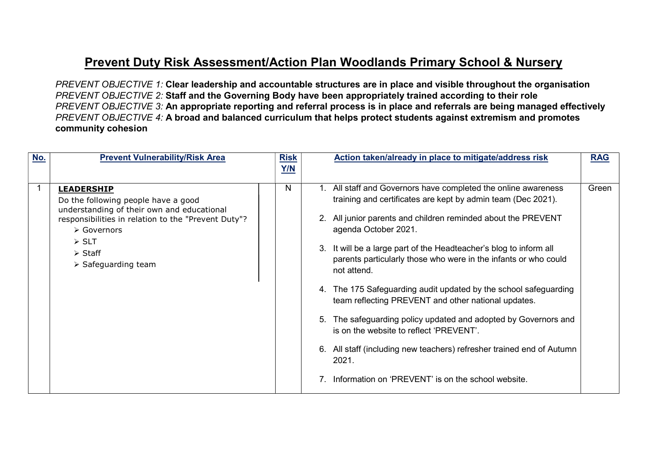## Prevent Duty Risk Assessment/Action Plan Woodlands Primary School & Nursery

PREVENT OBJECTIVE 1: Clear leadership and accountable structures are in place and visible throughout the organisation PREVENT OBJECTIVE 2: Staff and the Governing Body have been appropriately trained according to their role PREVENT OBJECTIVE 3: An appropriate reporting and referral process is in place and referrals are being managed effectively PREVENT OBJECTIVE 4: A broad and balanced curriculum that helps protect students against extremism and promotes community cohesion

| No. | <b>Prevent Vulnerability/Risk Area</b>                                                                                                                                                                                                                                              | <b>Risk</b><br>Y/N | Action taken/already in place to mitigate/address risk                                                                                                                                                                                                                                                                                                                                                                                                                                                                                                                                                                                                                                                                                                                 | <b>RAG</b> |
|-----|-------------------------------------------------------------------------------------------------------------------------------------------------------------------------------------------------------------------------------------------------------------------------------------|--------------------|------------------------------------------------------------------------------------------------------------------------------------------------------------------------------------------------------------------------------------------------------------------------------------------------------------------------------------------------------------------------------------------------------------------------------------------------------------------------------------------------------------------------------------------------------------------------------------------------------------------------------------------------------------------------------------------------------------------------------------------------------------------------|------------|
|     | <b>LEADERSHIP</b><br>Do the following people have a good<br>understanding of their own and educational<br>responsibilities in relation to the "Prevent Duty"?<br>$\triangleright$ Governors<br>$\triangleright$ SLT<br>$\triangleright$ Staff<br>$\triangleright$ Safeguarding team | N                  | 1. All staff and Governors have completed the online awareness<br>training and certificates are kept by admin team (Dec 2021).<br>2. All junior parents and children reminded about the PREVENT<br>agenda October 2021.<br>3. It will be a large part of the Headteacher's blog to inform all<br>parents particularly those who were in the infants or who could<br>not attend.<br>The 175 Safeguarding audit updated by the school safeguarding<br>4.<br>team reflecting PREVENT and other national updates.<br>The safeguarding policy updated and adopted by Governors and<br>5.<br>is on the website to reflect 'PREVENT'.<br>6. All staff (including new teachers) refresher trained end of Autumn<br>2021.<br>Information on 'PREVENT' is on the school website. | Green      |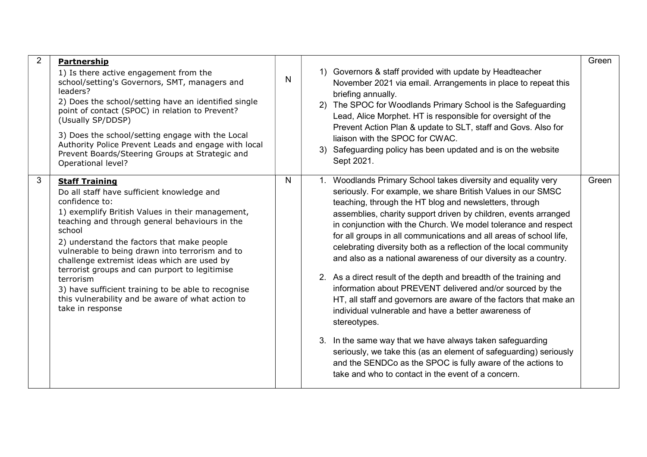| $\overline{2}$ | <b>Partnership</b><br>1) Is there active engagement from the<br>school/setting's Governors, SMT, managers and<br>leaders?<br>2) Does the school/setting have an identified single<br>point of contact (SPOC) in relation to Prevent?<br>(Usually SP/DDSP)<br>3) Does the school/setting engage with the Local<br>Authority Police Prevent Leads and engage with local<br>Prevent Boards/Steering Groups at Strategic and<br>Operational level?                                                                                                       | N            | briefing annually.<br>Sept 2021. | 1) Governors & staff provided with update by Headteacher<br>November 2021 via email. Arrangements in place to repeat this<br>2) The SPOC for Woodlands Primary School is the Safeguarding<br>Lead, Alice Morphet. HT is responsible for oversight of the<br>Prevent Action Plan & update to SLT, staff and Govs. Also for<br>liaison with the SPOC for CWAC.<br>3) Safeguarding policy has been updated and is on the website                                                                                                                                                                                                                                                                                                                                                                                                                                                                                                                                                                                                                                    | Green |
|----------------|------------------------------------------------------------------------------------------------------------------------------------------------------------------------------------------------------------------------------------------------------------------------------------------------------------------------------------------------------------------------------------------------------------------------------------------------------------------------------------------------------------------------------------------------------|--------------|----------------------------------|------------------------------------------------------------------------------------------------------------------------------------------------------------------------------------------------------------------------------------------------------------------------------------------------------------------------------------------------------------------------------------------------------------------------------------------------------------------------------------------------------------------------------------------------------------------------------------------------------------------------------------------------------------------------------------------------------------------------------------------------------------------------------------------------------------------------------------------------------------------------------------------------------------------------------------------------------------------------------------------------------------------------------------------------------------------|-------|
| $\mathbf{3}$   | <b>Staff Training</b><br>Do all staff have sufficient knowledge and<br>confidence to:<br>1) exemplify British Values in their management,<br>teaching and through general behaviours in the<br>school<br>2) understand the factors that make people<br>vulnerable to being drawn into terrorism and to<br>challenge extremist ideas which are used by<br>terrorist groups and can purport to legitimise<br>terrorism<br>3) have sufficient training to be able to recognise<br>this vulnerability and be aware of what action to<br>take in response | $\mathsf{N}$ | stereotypes.                     | 1. Woodlands Primary School takes diversity and equality very<br>seriously. For example, we share British Values in our SMSC<br>teaching, through the HT blog and newsletters, through<br>assemblies, charity support driven by children, events arranged<br>in conjunction with the Church. We model tolerance and respect<br>for all groups in all communications and all areas of school life,<br>celebrating diversity both as a reflection of the local community<br>and also as a national awareness of our diversity as a country.<br>2. As a direct result of the depth and breadth of the training and<br>information about PREVENT delivered and/or sourced by the<br>HT, all staff and governors are aware of the factors that make an<br>individual vulnerable and have a better awareness of<br>3. In the same way that we have always taken safeguarding<br>seriously, we take this (as an element of safeguarding) seriously<br>and the SENDCo as the SPOC is fully aware of the actions to<br>take and who to contact in the event of a concern. | Green |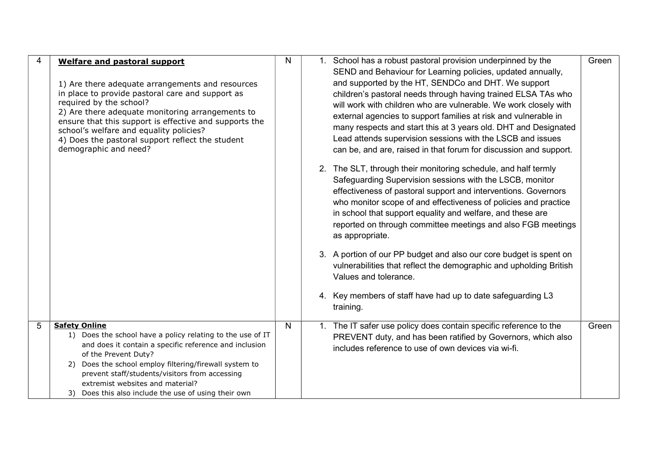|   | <b>Welfare and pastoral support</b><br>1) Are there adequate arrangements and resources<br>in place to provide pastoral care and support as<br>required by the school?<br>2) Are there adequate monitoring arrangements to<br>ensure that this support is effective and supports the<br>school's welfare and equality policies?<br>4) Does the pastoral support reflect the student<br>demographic and need? | N            | 1. School has a robust pastoral provision underpinned by the<br>SEND and Behaviour for Learning policies, updated annually,<br>and supported by the HT, SENDCo and DHT. We support<br>children's pastoral needs through having trained ELSA TAs who<br>will work with children who are vulnerable. We work closely with<br>external agencies to support families at risk and vulnerable in<br>many respects and start this at 3 years old. DHT and Designated<br>Lead attends supervision sessions with the LSCB and issues<br>can be, and are, raised in that forum for discussion and support.<br>2. The SLT, through their monitoring schedule, and half termly<br>Safeguarding Supervision sessions with the LSCB, monitor<br>effectiveness of pastoral support and interventions. Governors<br>who monitor scope of and effectiveness of policies and practice<br>in school that support equality and welfare, and these are<br>reported on through committee meetings and also FGB meetings<br>as appropriate.<br>3. A portion of our PP budget and also our core budget is spent on<br>vulnerabilities that reflect the demographic and upholding British<br>Values and tolerance.<br>4. Key members of staff have had up to date safeguarding L3<br>training. | Green |
|---|--------------------------------------------------------------------------------------------------------------------------------------------------------------------------------------------------------------------------------------------------------------------------------------------------------------------------------------------------------------------------------------------------------------|--------------|-----------------------------------------------------------------------------------------------------------------------------------------------------------------------------------------------------------------------------------------------------------------------------------------------------------------------------------------------------------------------------------------------------------------------------------------------------------------------------------------------------------------------------------------------------------------------------------------------------------------------------------------------------------------------------------------------------------------------------------------------------------------------------------------------------------------------------------------------------------------------------------------------------------------------------------------------------------------------------------------------------------------------------------------------------------------------------------------------------------------------------------------------------------------------------------------------------------------------------------------------------------------------|-------|
| 5 | <b>Safety Online</b><br>1) Does the school have a policy relating to the use of IT<br>and does it contain a specific reference and inclusion<br>of the Prevent Duty?<br>Does the school employ filtering/firewall system to<br>2)<br>prevent staff/students/visitors from accessing<br>extremist websites and material?<br>Does this also include the use of using their own<br>3)                           | $\mathsf{N}$ | 1. The IT safer use policy does contain specific reference to the<br>PREVENT duty, and has been ratified by Governors, which also<br>includes reference to use of own devices via wi-fi.                                                                                                                                                                                                                                                                                                                                                                                                                                                                                                                                                                                                                                                                                                                                                                                                                                                                                                                                                                                                                                                                              | Green |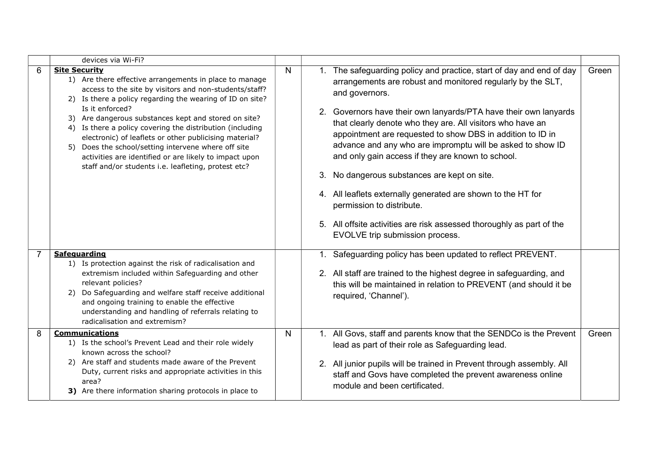|   | devices via Wi-Fi?                                                                                                                                                                                                                                                                                                                                                                                                                                                                                                                                                                 |              |                                                                                                                                                                                                                                                                                                                                                                                                                                                                                                                                                                                                                                                                                                                                         |       |
|---|------------------------------------------------------------------------------------------------------------------------------------------------------------------------------------------------------------------------------------------------------------------------------------------------------------------------------------------------------------------------------------------------------------------------------------------------------------------------------------------------------------------------------------------------------------------------------------|--------------|-----------------------------------------------------------------------------------------------------------------------------------------------------------------------------------------------------------------------------------------------------------------------------------------------------------------------------------------------------------------------------------------------------------------------------------------------------------------------------------------------------------------------------------------------------------------------------------------------------------------------------------------------------------------------------------------------------------------------------------------|-------|
| 6 | <b>Site Security</b><br>1) Are there effective arrangements in place to manage<br>access to the site by visitors and non-students/staff?<br>2) Is there a policy regarding the wearing of ID on site?<br>Is it enforced?<br>3) Are dangerous substances kept and stored on site?<br>4) Is there a policy covering the distribution (including<br>electronic) of leaflets or other publicising material?<br>Does the school/setting intervene where off site<br>5)<br>activities are identified or are likely to impact upon<br>staff and/or students i.e. leafleting, protest etc? | $\mathsf{N}$ | 1. The safeguarding policy and practice, start of day and end of day<br>arrangements are robust and monitored regularly by the SLT,<br>and governors.<br>Governors have their own lanyards/PTA have their own lanyards<br>2.<br>that clearly denote who they are. All visitors who have an<br>appointment are requested to show DBS in addition to ID in<br>advance and any who are impromptu will be asked to show ID<br>and only gain access if they are known to school.<br>No dangerous substances are kept on site.<br>3.<br>4. All leaflets externally generated are shown to the HT for<br>permission to distribute.<br>5. All offsite activities are risk assessed thoroughly as part of the<br>EVOLVE trip submission process. | Green |
|   | Safeguarding<br>1) Is protection against the risk of radicalisation and<br>extremism included within Safeguarding and other<br>relevant policies?<br>Do Safeguarding and welfare staff receive additional<br>2)<br>and ongoing training to enable the effective<br>understanding and handling of referrals relating to<br>radicalisation and extremism?                                                                                                                                                                                                                            |              | 1. Safeguarding policy has been updated to reflect PREVENT.<br>2. All staff are trained to the highest degree in safeguarding, and<br>this will be maintained in relation to PREVENT (and should it be<br>required, 'Channel').                                                                                                                                                                                                                                                                                                                                                                                                                                                                                                         |       |
| 8 | <b>Communications</b><br>1) Is the school's Prevent Lead and their role widely<br>known across the school?<br>2) Are staff and students made aware of the Prevent<br>Duty, current risks and appropriate activities in this<br>area?<br>3) Are there information sharing protocols in place to                                                                                                                                                                                                                                                                                     | N            | 1. All Govs, staff and parents know that the SENDCo is the Prevent<br>lead as part of their role as Safeguarding lead.<br>2. All junior pupils will be trained in Prevent through assembly. All<br>staff and Govs have completed the prevent awareness online<br>module and been certificated.                                                                                                                                                                                                                                                                                                                                                                                                                                          | Green |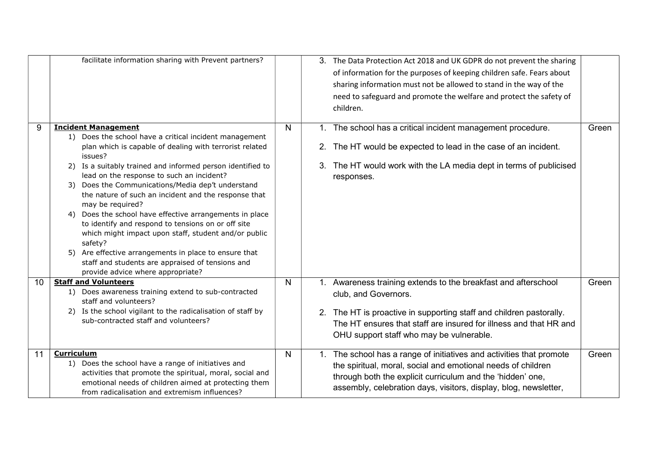|    | facilitate information sharing with Prevent partners?                                                                                                                                                                                                                                                                                                                                                                                                                                                                                                                                                                                                                                                                                              |              | 3. The Data Protection Act 2018 and UK GDPR do not prevent the sharing<br>of information for the purposes of keeping children safe. Fears about<br>sharing information must not be allowed to stand in the way of the<br>need to safeguard and promote the welfare and protect the safety of<br>children. |       |
|----|----------------------------------------------------------------------------------------------------------------------------------------------------------------------------------------------------------------------------------------------------------------------------------------------------------------------------------------------------------------------------------------------------------------------------------------------------------------------------------------------------------------------------------------------------------------------------------------------------------------------------------------------------------------------------------------------------------------------------------------------------|--------------|-----------------------------------------------------------------------------------------------------------------------------------------------------------------------------------------------------------------------------------------------------------------------------------------------------------|-------|
| 9  | <b>Incident Management</b><br>1) Does the school have a critical incident management<br>plan which is capable of dealing with terrorist related<br>issues?<br>2) Is a suitably trained and informed person identified to<br>lead on the response to such an incident?<br>3) Does the Communications/Media dep't understand<br>the nature of such an incident and the response that<br>may be required?<br>Does the school have effective arrangements in place<br>4)<br>to identify and respond to tensions on or off site<br>which might impact upon staff, student and/or public<br>safety?<br>Are effective arrangements in place to ensure that<br>5)<br>staff and students are appraised of tensions and<br>provide advice where appropriate? | N            | 1. The school has a critical incident management procedure.<br>The HT would be expected to lead in the case of an incident.<br>2.<br>The HT would work with the LA media dept in terms of publicised<br>3.<br>responses.                                                                                  | Green |
| 10 | <b>Staff and Volunteers</b><br>1) Does awareness training extend to sub-contracted<br>staff and volunteers?<br>2) Is the school vigilant to the radicalisation of staff by<br>sub-contracted staff and volunteers?                                                                                                                                                                                                                                                                                                                                                                                                                                                                                                                                 | $\mathsf{N}$ | 1. Awareness training extends to the breakfast and afterschool<br>club, and Governors.<br>2. The HT is proactive in supporting staff and children pastorally.<br>The HT ensures that staff are insured for illness and that HR and<br>OHU support staff who may be vulnerable.                            | Green |
| 11 | <b>Curriculum</b><br>1) Does the school have a range of initiatives and<br>activities that promote the spiritual, moral, social and<br>emotional needs of children aimed at protecting them<br>from radicalisation and extremism influences?                                                                                                                                                                                                                                                                                                                                                                                                                                                                                                       | N            | 1. The school has a range of initiatives and activities that promote<br>the spiritual, moral, social and emotional needs of children<br>through both the explicit curriculum and the 'hidden' one,<br>assembly, celebration days, visitors, display, blog, newsletter,                                    | Green |